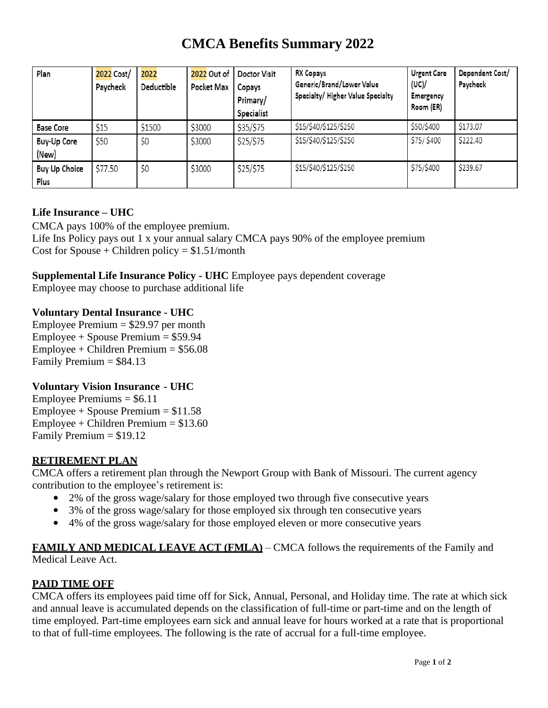# **CMCA Benefits Summary 2022**

| Plan                         | 2022 Cost/<br>Paycheck | 2022<br>Deductible | 2022 Out of<br>Pocket Max | Doctor Visit<br>Copays<br>Primary/<br>Specialist | RX Copays<br>Generic/Brand/Lower Value<br>Specialty/Higher Value Specialty | <b>Urgent Care</b><br>(UC)/<br>Emergency<br>Room (ER) | Dependent Cost/<br>Paycheck |
|------------------------------|------------------------|--------------------|---------------------------|--------------------------------------------------|----------------------------------------------------------------------------|-------------------------------------------------------|-----------------------------|
| <b>Base Core</b>             | \$15                   | \$1500             | \$3000                    | \$35/\$75                                        | \$15/\$40/\$125/\$250                                                      | \$50/\$400                                            | \$173.07                    |
| <b>Buy-Up Core</b><br>(New)  | \$50                   | \$0                | \$3000                    | \$25/\$75                                        | \$15/\$40/\$125/\$250                                                      | \$75/\$400                                            | \$222.40                    |
| <b>Buy Up Choice</b><br>Plus | \$77.50                | \$0                | \$3000                    | \$25/\$75                                        | \$15/\$40/\$125/\$250                                                      | \$75/\$400                                            | \$239.67                    |

## **Life Insurance – UHC**

CMCA pays 100% of the employee premium. Life Ins Policy pays out 1 x your annual salary CMCA pays 90% of the employee premium Cost for Spouse + Children policy =  $$1.51/m$ onth

**Supplemental Life Insurance Policy - UHC** Employee pays dependent coverage Employee may choose to purchase additional life

## **Voluntary Dental Insurance - UHC**

Employee Premium = \$29.97 per month Employee + Spouse Premium = \$59.94 Employee + Children Premium = \$56.08 Family Premium = \$84.13

#### **Voluntary Vision Insurance - UHC**

Employee Premiums = \$6.11  $Employee + Spouse$  Premium = \$11.58 Employee + Children Premium = \$13.60 Family Premium = \$19.12

#### **RETIREMENT PLAN**

CMCA offers a retirement plan through the Newport Group with Bank of Missouri. The current agency contribution to the employee's retirement is:

- 2% of the gross wage/salary for those employed two through five consecutive years
- 3% of the gross wage/salary for those employed six through ten consecutive years
- 4% of the gross wage/salary for those employed eleven or more consecutive years

**FAMILY AND MEDICAL LEAVE ACT (FMLA)** – CMCA follows the requirements of the Family and Medical Leave Act.

#### **PAID TIME OFF**

CMCA offers its employees paid time off for Sick, Annual, Personal, and Holiday time. The rate at which sick and annual leave is accumulated depends on the classification of full-time or part-time and on the length of time employed. Part-time employees earn sick and annual leave for hours worked at a rate that is proportional to that of full-time employees. The following is the rate of accrual for a full-time employee.